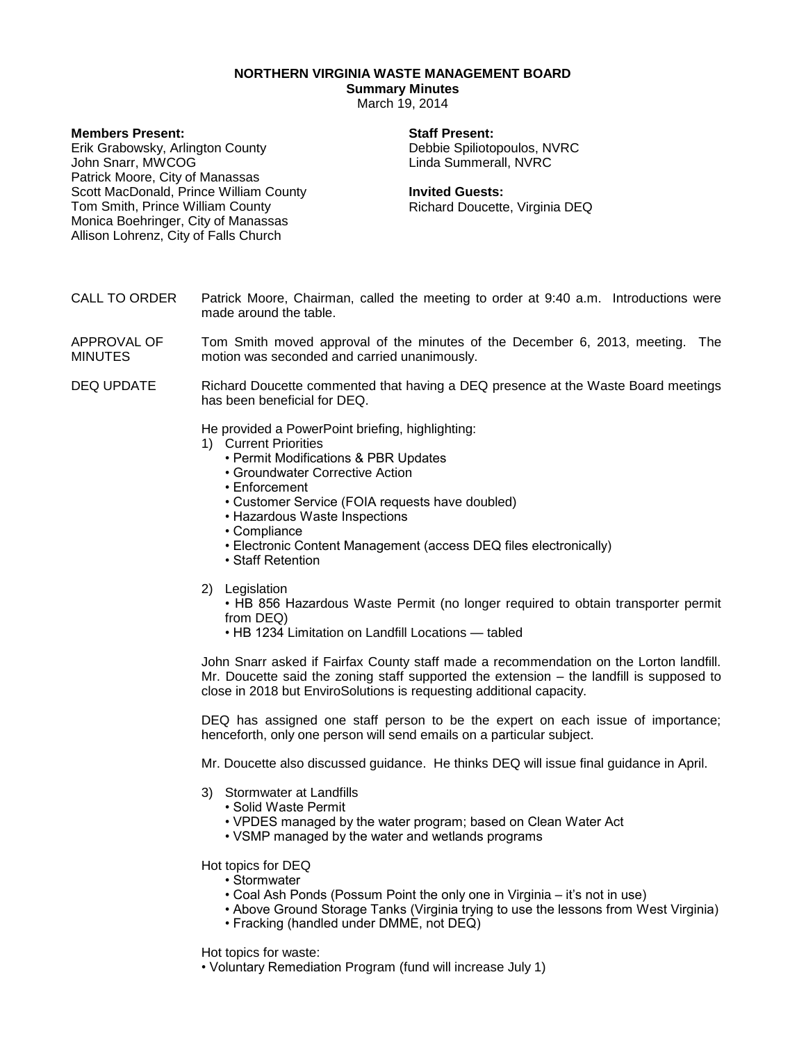**NORTHERN VIRGINIA WASTE MANAGEMENT BOARD**

**Summary Minutes**

March 19, 2014

| <b>Members Present:</b>                | <b>Staff Present:</b>          |
|----------------------------------------|--------------------------------|
| Erik Grabowsky, Arlington County       | Debbie Spiliotopoulos, NVRC    |
| John Snarr, MWCOG                      | Linda Summerall, NVRC          |
| Patrick Moore, City of Manassas        |                                |
| Scott MacDonald, Prince William County | <b>Invited Guests:</b>         |
| Tom Smith, Prince William County       | Richard Doucette, Virginia DEQ |
| Monica Boehringer, City of Manassas    |                                |
| Allison Lohrenz, City of Falls Church  |                                |
|                                        |                                |
|                                        |                                |

- CALL TO ORDER Patrick Moore, Chairman, called the meeting to order at 9:40 a.m. Introductions were made around the table.
- APPROVAL OF MINUTES Tom Smith moved approval of the minutes of the December 6, 2013, meeting. The motion was seconded and carried unanimously.
- DEQ UPDATE Richard Doucette commented that having a DEQ presence at the Waste Board meetings has been beneficial for DEQ.

He provided a PowerPoint briefing, highlighting:

- 1) Current Priorities
	- Permit Modifications & PBR Updates
	- Groundwater Corrective Action
	- Enforcement
	- Customer Service (FOIA requests have doubled)
	- Hazardous Waste Inspections
	- Compliance
	- Electronic Content Management (access DEQ files electronically)
	- Staff Retention
- 2) Legislation
	- HB 856 Hazardous Waste Permit (no longer required to obtain transporter permit from DEQ)
	- HB 1234 Limitation on Landfill Locations tabled

John Snarr asked if Fairfax County staff made a recommendation on the Lorton landfill. Mr. Doucette said the zoning staff supported the extension – the landfill is supposed to close in 2018 but EnviroSolutions is requesting additional capacity.

DEQ has assigned one staff person to be the expert on each issue of importance; henceforth, only one person will send emails on a particular subject.

Mr. Doucette also discussed guidance. He thinks DEQ will issue final guidance in April.

- 3) Stormwater at Landfills
	- Solid Waste Permit
	- VPDES managed by the water program; based on Clean Water Act
	- VSMP managed by the water and wetlands programs

Hot topics for DEQ

- Stormwater
- Coal Ash Ponds (Possum Point the only one in Virginia it's not in use)
- Above Ground Storage Tanks (Virginia trying to use the lessons from West Virginia)
- Fracking (handled under DMME, not DEQ)

Hot topics for waste:

• Voluntary Remediation Program (fund will increase July 1)